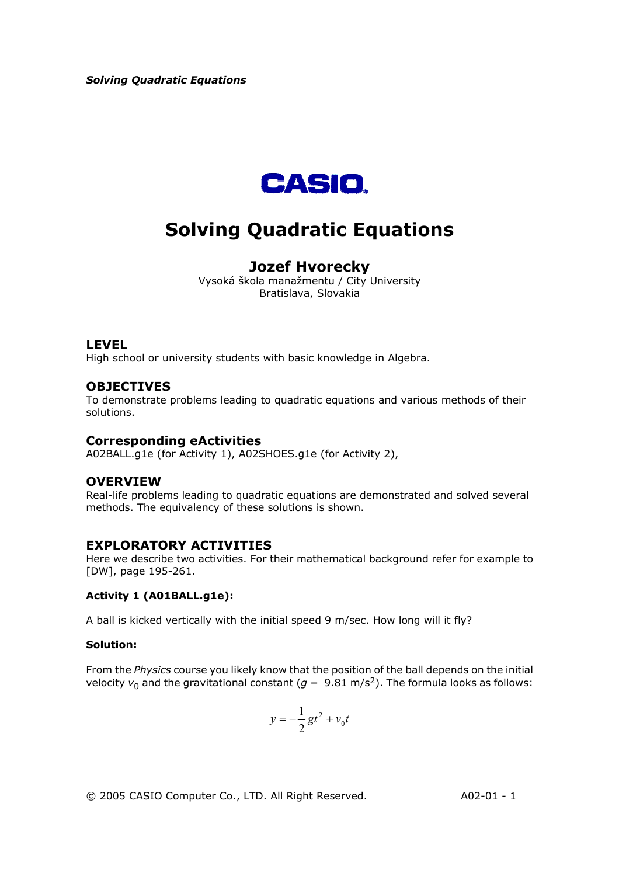

# **Solving Quadratic Equations**

## **Jozef Hvorecky**

Vysoká škola manažmentu / City University Bratislava, Slovakia

#### **LEVEL**

High school or university students with basic knowledge in Algebra.

## **OBJECTIVES**

To demonstrate problems leading to quadratic equations and various methods of their solutions.

## **Corresponding eActivities**

A02BALL.g1e (for Activity 1), A02SHOES.g1e (for Activity 2),

## **OVERVIEW**

Real-life problems leading to quadratic equations are demonstrated and solved several methods. The equivalency of these solutions is shown.

## **EXPLORATORY ACTIVITIES**

Here we describe two activities. For their mathematical background refer for example to [DW], page 195-261.

#### **Activity 1 (A01BALL.g1e):**

A ball is kicked vertically with the initial speed 9 m/sec. How long will it fly?

#### **Solution:**

From the *Physics* course you likely know that the position of the ball depends on the initial velocity  $v_0$  and the gravitational constant ( $q = 9.81$  m/s<sup>2</sup>). The formula looks as follows:

$$
y = -\frac{1}{2}gt^2 + v_0t
$$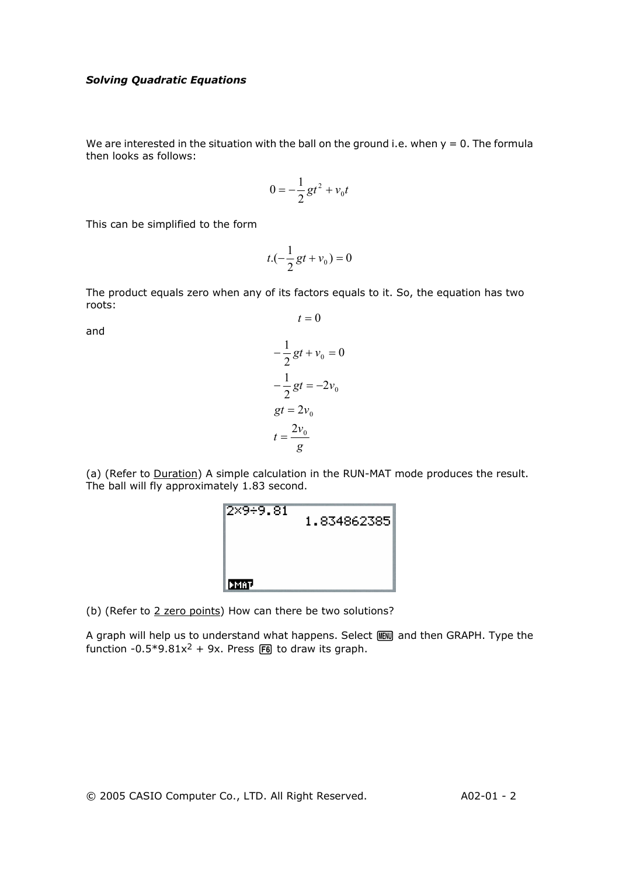We are interested in the situation with the ball on the ground i.e. when  $y = 0$ . The formula then looks as follows:

$$
0=-\frac{1}{2}gt^2+v_0t
$$

This can be simplified to the form

$$
t.(-\frac{1}{2}gt + v_0) = 0
$$

The product equals zero when any of its factors equals to it. So, the equation has two roots:  $t = 0$ 

and

$$
-\frac{1}{2}gt + v_0 = 0
$$

$$
-\frac{1}{2}gt = -2v_0
$$

$$
gt = 2v_0
$$

$$
t = \frac{2v_0}{g}
$$

(a) (Refer to Duration) A simple calculation in the RUN-MAT mode produces the result. The ball will fly approximately 1.83 second.

| 2×9÷9.81   | 1.834862385 |
|------------|-------------|
|            |             |
| <b>MAT</b> |             |

(b) (Refer to 2 zero points) How can there be two solutions?

A graph will help us to understand what happens. Select FEND and then GRAPH. Type the function -0.5\*9.81 $x^2$  + 9x. Press F6 to draw its graph.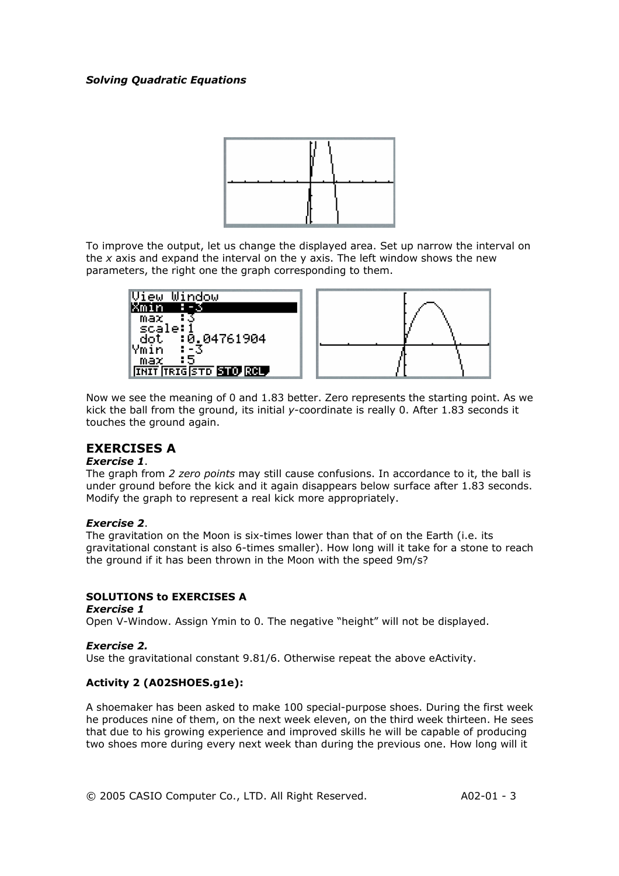

To improve the output, let us change the displayed area. Set up narrow the interval on the *x* axis and expand the interval on the y axis. The left window shows the new parameters, the right one the graph corresponding to them.



Now we see the meaning of 0 and 1.83 better. Zero represents the starting point. As we kick the ball from the ground, its initial *y*-coordinate is really 0. After 1.83 seconds it touches the ground again.

## **EXERCISES A**

#### *Exercise 1*.

The graph from *2 zero points* may still cause confusions. In accordance to it, the ball is under ground before the kick and it again disappears below surface after 1.83 seconds. Modify the graph to represent a real kick more appropriately.

#### *Exercise 2*.

The gravitation on the Moon is six-times lower than that of on the Earth (i.e. its gravitational constant is also 6-times smaller). How long will it take for a stone to reach the ground if it has been thrown in the Moon with the speed 9m/s?

## **SOLUTIONS to EXERCISES A**

#### *Exercise 1*

Open V-Window. Assign Ymin to 0. The negative "height" will not be displayed.

#### *Exercise 2.*

Use the gravitational constant 9.81/6. Otherwise repeat the above eActivity.

## **Activity 2 (A02SHOES.g1e):**

A shoemaker has been asked to make 100 special-purpose shoes. During the first week he produces nine of them, on the next week eleven, on the third week thirteen. He sees that due to his growing experience and improved skills he will be capable of producing two shoes more during every next week than during the previous one. How long will it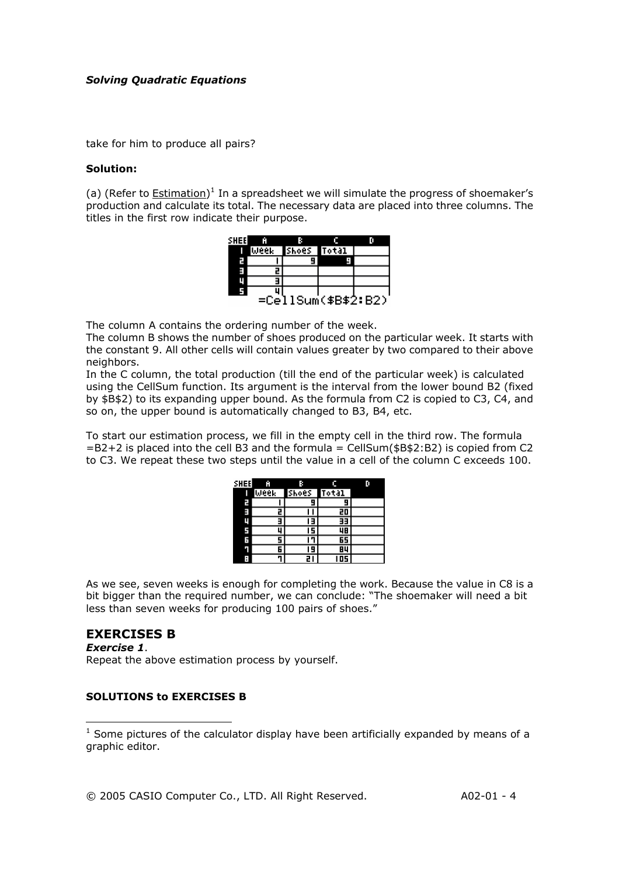take for him to produce all pairs?

#### **Solution:**

(a) (Refer to  $Estimation$ )<sup>1</sup> In a spreadsheet we will simulate the progress of shoemaker's production and calculate its total. The necessary data are placed into three columns. The titles in the first row indicate their purpose.



The column A contains the ordering number of the week.

The column B shows the number of shoes produced on the particular week. It starts with the constant 9. All other cells will contain values greater by two compared to their above neighbors.

In the C column, the total production (till the end of the particular week) is calculated using the CellSum function. Its argument is the interval from the lower bound B2 (fixed by \$B\$2) to its expanding upper bound. As the formula from C2 is copied to C3, C4, and so on, the upper bound is automatically changed to B3, B4, etc.

To start our estimation process, we fill in the empty cell in the third row. The formula  $=$ B2+2 is placed into the cell B3 and the formula = CellSum(\$B\$2:B2) is copied from C2 to C3. We repeat these two steps until the value in a cell of the column C exceeds 100.

| <b>SHEE</b> | Ĥ    | R.    | c     |  |
|-------------|------|-------|-------|--|
| Ι           | Week | Shoes | Total |  |
| n m         |      |       |       |  |
|             | 2    |       | 20    |  |
| ц           |      | Е     | 33    |  |
| 5           | u    | 5     | 48    |  |
| Ξ           | 5    |       | 65    |  |
| П           | 6    | 9     | 84    |  |
| ÷           | ٦    | 21    | I 05  |  |

As we see, seven weeks is enough for completing the work. Because the value in C8 is a bit bigger than the required number, we can conclude: "The shoemaker will need a bit less than seven weeks for producing 100 pairs of shoes."

## **EXERCISES B**

 $\overline{a}$ 

*Exercise 1*. Repeat the above estimation process by yourself.

#### **SOLUTIONS to EXERCISES B**

 $<sup>1</sup>$  Some pictures of the calculator display have been artificially expanded by means of a</sup> graphic editor.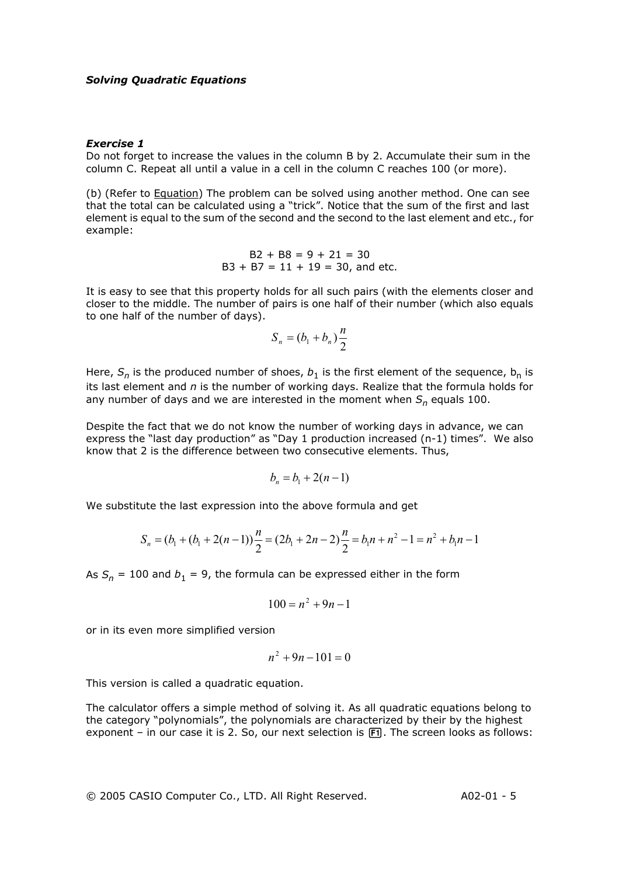#### *Exercise 1*

Do not forget to increase the values in the column B by 2. Accumulate their sum in the column C. Repeat all until a value in a cell in the column C reaches 100 (or more).

(b) (Refer to Equation) The problem can be solved using another method. One can see that the total can be calculated using a "trick". Notice that the sum of the first and last element is equal to the sum of the second and the second to the last element and etc., for example:

$$
B2 + B8 = 9 + 21 = 30
$$
  
B3 + B7 = 11 + 19 = 30, and etc.

It is easy to see that this property holds for all such pairs (with the elements closer and closer to the middle. The number of pairs is one half of their number (which also equals to one half of the number of days).

$$
S_n = (b_1 + b_n)\frac{n}{2}
$$

Here,  $S_n$  is the produced number of shoes,  $b_1$  is the first element of the sequence,  $b_n$  is its last element and *n* is the number of working days. Realize that the formula holds for any number of days and we are interested in the moment when  $S_n$  equals 100.

Despite the fact that we do not know the number of working days in advance, we can express the "last day production" as "Day 1 production increased (n-1) times". We also know that 2 is the difference between two consecutive elements. Thus,

$$
b_n = b_1 + 2(n-1)
$$

We substitute the last expression into the above formula and get

$$
S_n = (b_1 + (b_1 + 2(n-1)))\frac{n}{2} = (2b_1 + 2n - 2)\frac{n}{2} = b_1n + n^2 - 1 = n^2 + b_1n - 1
$$

As  $S_n = 100$  and  $b_1 = 9$ , the formula can be expressed either in the form

$$
100 = n^2 + 9n - 1
$$

or in its even more simplified version

$$
n^2 + 9n - 101 = 0
$$

This version is called a quadratic equation.

The calculator offers a simple method of solving it. As all quadratic equations belong to the category "polynomials", the polynomials are characterized by their by the highest exponent – in our case it is 2. So, our next selection is  $[**F**]<sub>1</sub>$ . The screen looks as follows: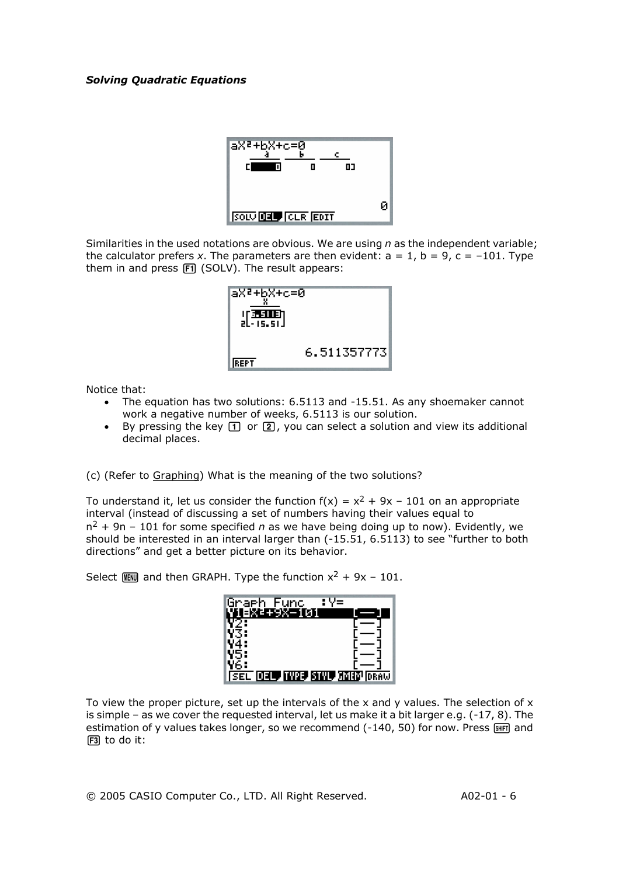

Similarities in the used notations are obvious. We are using *n* as the independent variable; the calculator prefers *x*. The parameters are then evident:  $a = 1$ ,  $b = 9$ ,  $c = -101$ . Type them in and press  $[F1]$  (SOLV). The result appears:



Notice that:

- The equation has two solutions: 6.5113 and -15.51. As any shoemaker cannot work a negative number of weeks, 6.5113 is our solution.
- By pressing the key  $\boxed{1}$  or  $\boxed{2}$ , you can select a solution and view its additional decimal places.

(c) (Refer to Graphing) What is the meaning of the two solutions?

To understand it, let us consider the function  $f(x) = x^2 + 9x - 101$  on an appropriate interval (instead of discussing a set of numbers having their values equal to  $n^2$  + 9n – 101 for some specified *n* as we have being doing up to now). Evidently, we should be interested in an interval larger than (-15.51, 6.5113) to see "further to both directions" and get a better picture on its behavior.

Select  $M = 101$ . Select  $M = 101$ .



To view the proper picture, set up the intervals of the x and y values. The selection of  $x$ is simple – as we cover the requested interval, let us make it a bit larger e.g.  $(-17, 8)$ . The estimation of y values takes longer, so we recommend  $(-140, 50)$  for now. Press  $\sqrt{\sin \theta}$  and  $F3$  to do it: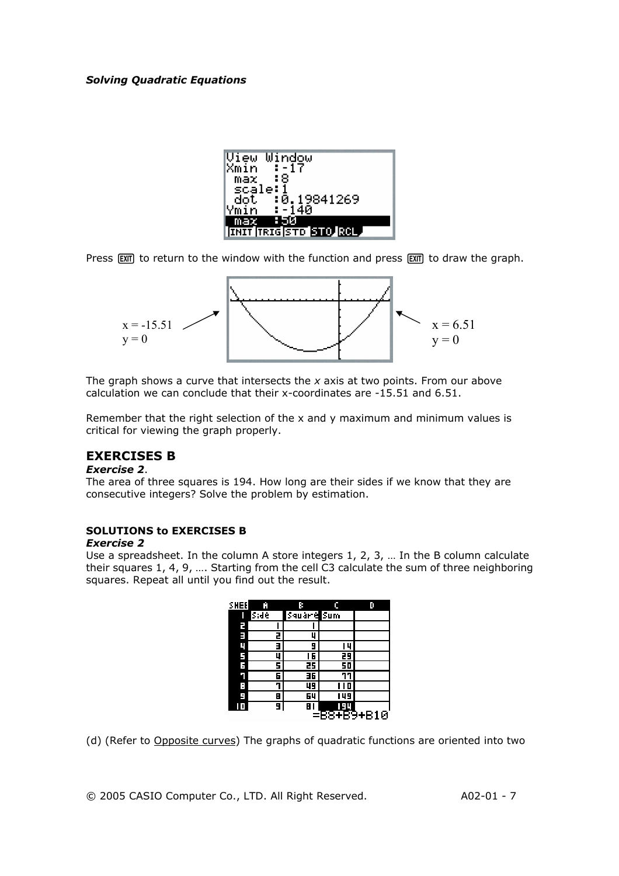| View Window                  |
|------------------------------|
| $-17$<br>Xmin l              |
| -:8<br>max l                 |
| scale:1                      |
| :0.19841269<br>dot. I        |
| $-140$<br>Ymin               |
| 850<br>max                   |
| <b>INIT TRIGISTO STO ROL</b> |

Press  $[EMT]$  to return to the window with the function and press  $[EMT]$  to draw the graph.



The graph shows a curve that intersects the *x* axis at two points. From our above calculation we can conclude that their x-coordinates are -15.51 and 6.51.

Remember that the right selection of the x and y maximum and minimum values is critical for viewing the graph properly.

## **EXERCISES B**

#### *Exercise 2*.

The area of three squares is 194. How long are their sides if we know that they are consecutive integers? Solve the problem by estimation.

## **SOLUTIONS to EXERCISES B**

#### *Exercise 2*

Use a spreadsheet. In the column A store integers 1, 2, 3, … In the B column calculate their squares 1, 4, 9, …. Starting from the cell C3 calculate the sum of three neighboring squares. Repeat all until you find out the result.

| SHEE | Ĥ    | в           | c   | D         |
|------|------|-------------|-----|-----------|
|      | Side | Sauarre Sum |     |           |
| г    |      |             |     |           |
| E    | 2    | Ц           |     |           |
| Ц    | E    | 9           | 14  |           |
| F    | 4    | 16          | 29  |           |
| F    | 5    | 25          | 50  |           |
| ٦    | 6    | 36          |     |           |
| Е    | 7    | ᇽ           | п   |           |
| н    | 8    | 64          | 149 |           |
|      | 9    | 8           | 94  |           |
|      |      |             |     | 88+B9+B10 |

(d) (Refer to Opposite curves) The graphs of quadratic functions are oriented into two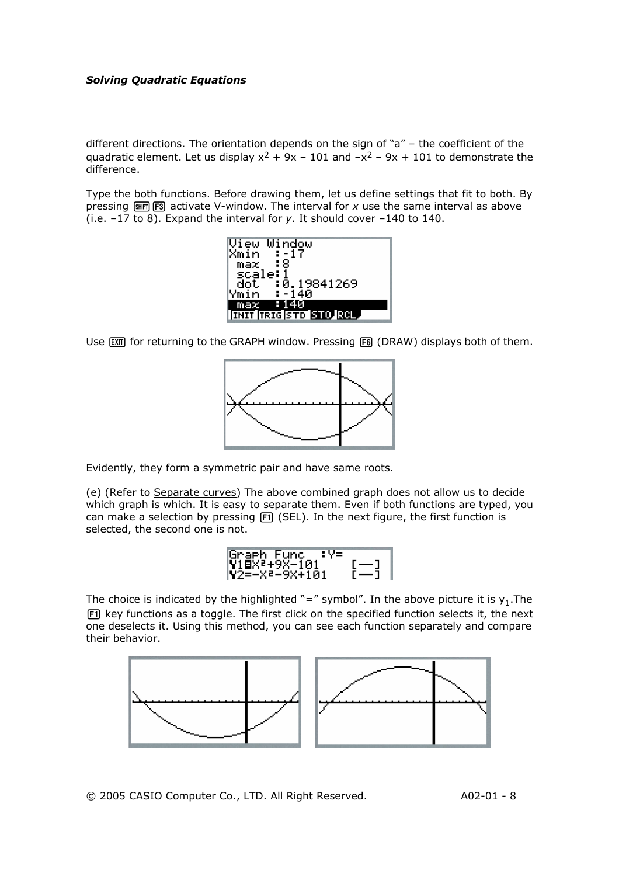different directions. The orientation depends on the sign of "a" – the coefficient of the quadratic element. Let us display  $x^2 + 9x - 101$  and  $-x^2 - 9x + 101$  to demonstrate the difference.

Type the both functions. Before drawing them, let us define settings that fit to both. By pressing  $\frac{1}{2}$   $\frac{1}{2}$  activate V-window. The interval for *x* use the same interval as above (i.e. –17 to 8). Expand the interval for *y*. It should cover –140 to 140.



Use [EXT] for returning to the GRAPH window. Pressing [F6] (DRAW) displays both of them.



Evidently, they form a symmetric pair and have same roots.

(e) (Refer to Separate curves) The above combined graph does not allow us to decide which graph is which. It is easy to separate them. Even if both functions are typed, you can make a selection by pressing  $F1$  (SEL). In the next figure, the first function is selected, the second one is not.



The choice is indicated by the highlighted "=" symbol". In the above picture it is  $y_1$ . The [F1] key functions as a toggle. The first click on the specified function selects it, the next one deselects it. Using this method, you can see each function separately and compare their behavior.